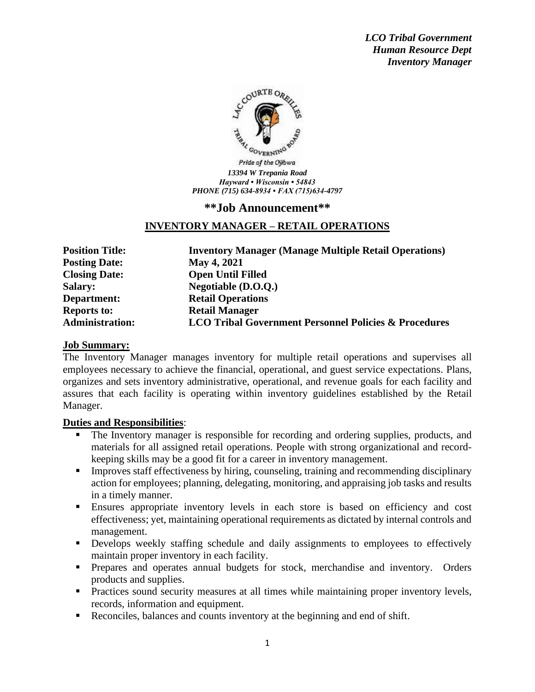*LCO Tribal Government Human Resource Dept Inventory Manager*



## **\*\*Job Announcement\*\***

## **INVENTORY MANAGER – RETAIL OPERATIONS**

**Posting Date: May 4, 2021 Closing Date: Open Until Filled Department: Retail Operations Reports to: Retail Manager**

**Position Title: Inventory Manager (Manage Multiple Retail Operations) Salary: Negotiable (D.O.Q.) Administration: LCO Tribal Government Personnel Policies & Procedures**

### **Job Summary:**

The Inventory Manager manages inventory for multiple retail operations and supervises all employees necessary to achieve the financial, operational, and guest service expectations. Plans, organizes and sets inventory administrative, operational, and revenue goals for each facility and assures that each facility is operating within inventory guidelines established by the Retail Manager.

### **Duties and Responsibilities**:

- The Inventory manager is responsible for recording and ordering supplies, products, and materials for all assigned retail operations. People with strong organizational and recordkeeping skills may be a good fit for a career in inventory management.
- Improves staff effectiveness by hiring, counseling, training and recommending disciplinary action for employees; planning, delegating, monitoring, and appraising job tasks and results in a timely manner.
- Ensures appropriate inventory levels in each store is based on efficiency and cost effectiveness; yet, maintaining operational requirements as dictated by internal controls and management.
- **•** Develops weekly staffing schedule and daily assignments to employees to effectively maintain proper inventory in each facility.
- **•** Prepares and operates annual budgets for stock, merchandise and inventory. Orders products and supplies.
- **•** Practices sound security measures at all times while maintaining proper inventory levels, records, information and equipment.
- Reconciles, balances and counts inventory at the beginning and end of shift.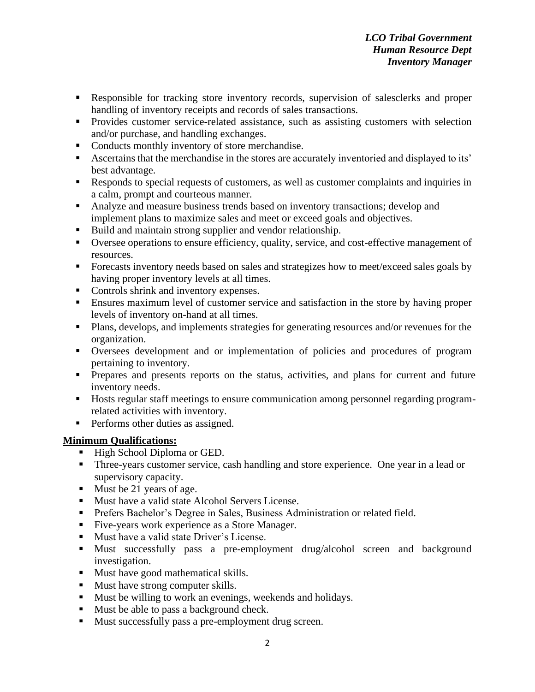- Responsible for tracking store inventory records, supervision of salesclerks and proper handling of inventory receipts and records of sales transactions.
- **•** Provides customer service-related assistance, such as assisting customers with selection and/or purchase, and handling exchanges.
- Conducts monthly inventory of store merchandise.
- Ascertains that the merchandise in the stores are accurately inventoried and displayed to its' best advantage.
- Responds to special requests of customers, as well as customer complaints and inquiries in a calm, prompt and courteous manner.
- Analyze and measure business trends based on inventory transactions; develop and implement plans to maximize sales and meet or exceed goals and objectives.
- Build and maintain strong supplier and vendor relationship.
- Oversee operations to ensure efficiency, quality, service, and cost-effective management of resources.
- Forecasts inventory needs based on sales and strategizes how to meet/exceed sales goals by having proper inventory levels at all times.
- Controls shrink and inventory expenses.
- Ensures maximum level of customer service and satisfaction in the store by having proper levels of inventory on-hand at all times.
- Plans, develops, and implements strategies for generating resources and/or revenues for the organization.
- Oversees development and or implementation of policies and procedures of program pertaining to inventory.
- **•** Prepares and presents reports on the status, activities, and plans for current and future inventory needs.
- Hosts regular staff meetings to ensure communication among personnel regarding programrelated activities with inventory.
- **•** Performs other duties as assigned.

# **Minimum Qualifications:**

- High School Diploma or GED.
- **Three-years customer service, cash handling and store experience. One year in a lead or** supervisory capacity.
- Must be 21 years of age.
- Must have a valid state Alcohol Servers License.
- **•** Prefers Bachelor's Degree in Sales, Business Administration or related field.
- Five-years work experience as a Store Manager.
- Must have a valid state Driver's License.
- Must successfully pass a pre-employment drug/alcohol screen and background investigation.
- Must have good mathematical skills.
- Must have strong computer skills.
- Must be willing to work an evenings, weekends and holidays.
- Must be able to pass a background check.
- Must successfully pass a pre-employment drug screen.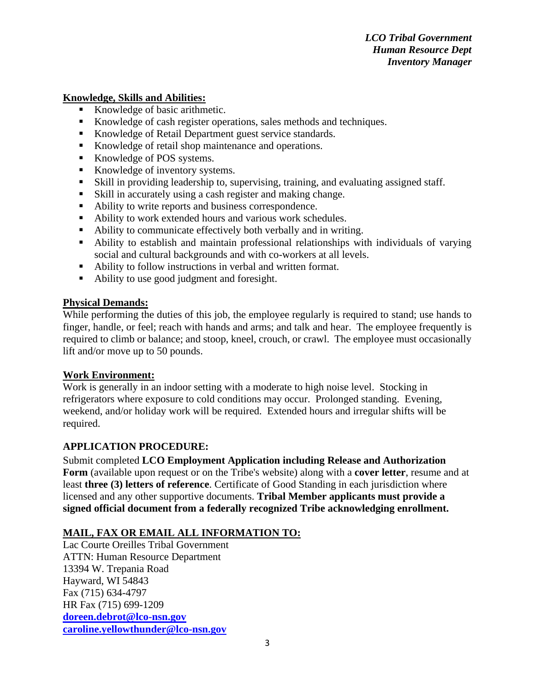# **Knowledge, Skills and Abilities:**

- Knowledge of basic arithmetic.
- Knowledge of cash register operations, sales methods and techniques.
- Knowledge of Retail Department guest service standards.
- Knowledge of retail shop maintenance and operations.
- Knowledge of POS systems.
- Knowledge of inventory systems.
- Skill in providing leadership to, supervising, training, and evaluating assigned staff.
- Skill in accurately using a cash register and making change.
- Ability to write reports and business correspondence.
- Ability to work extended hours and various work schedules.
- Ability to communicate effectively both verbally and in writing.
- Ability to establish and maintain professional relationships with individuals of varying social and cultural backgrounds and with co-workers at all levels.
- Ability to follow instructions in verbal and written format.
- Ability to use good judgment and foresight.

### **Physical Demands:**

While performing the duties of this job, the employee regularly is required to stand; use hands to finger, handle, or feel; reach with hands and arms; and talk and hear. The employee frequently is required to climb or balance; and stoop, kneel, crouch, or crawl. The employee must occasionally lift and/or move up to 50 pounds.

### **Work Environment:**

Work is generally in an indoor setting with a moderate to high noise level. Stocking in refrigerators where exposure to cold conditions may occur. Prolonged standing. Evening, weekend, and/or holiday work will be required. Extended hours and irregular shifts will be required.

### **APPLICATION PROCEDURE:**

Submit completed **LCO Employment Application including Release and Authorization Form** (available upon request or on the Tribe's website) along with a **cover letter**, resume and at least **three (3) letters of reference**. Certificate of Good Standing in each jurisdiction where licensed and any other supportive documents. **Tribal Member applicants must provide a signed official document from a federally recognized Tribe acknowledging enrollment.**

# **MAIL, FAX OR EMAIL ALL INFORMATION TO:**

Lac Courte Oreilles Tribal Government ATTN: Human Resource Department 13394 W. Trepania Road Hayward, WI 54843 Fax (715) 634-4797 HR Fax (715) 699-1209 **[doreen.debrot@lco-nsn.gov](mailto:doreen.debrot@lco-nsn.gov) [caroline.yellowthunder@lco-nsn.gov](mailto:caroline.yellowthunder@lco-nsn.gov)**